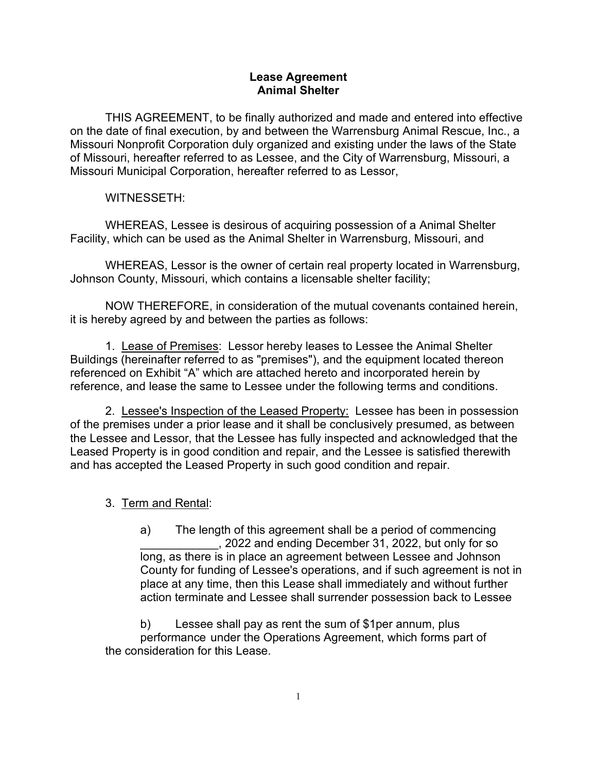### **Lease Agreement Animal Shelter**

THIS AGREEMENT, to be finally authorized and made and entered into effective on the date of final execution, by and between the Warrensburg Animal Rescue, Inc., a Missouri Nonprofit Corporation duly organized and existing under the laws of the State of Missouri, hereafter referred to as Lessee, and the City of Warrensburg, Missouri, a Missouri Municipal Corporation, hereafter referred to as Lessor,

## WITNESSETH:

WHEREAS, Lessee is desirous of acquiring possession of a Animal Shelter Facility, which can be used as the Animal Shelter in Warrensburg, Missouri, and

WHEREAS, Lessor is the owner of certain real property located in Warrensburg, Johnson County, Missouri, which contains a licensable shelter facility;

NOW THEREFORE, in consideration of the mutual covenants contained herein, it is hereby agreed by and between the parties as follows:

1. Lease of Premises: Lessor hereby leases to Lessee the Animal Shelter Buildings (hereinafter referred to as "premises"), and the equipment located thereon referenced on Exhibit "A" which are attached hereto and incorporated herein by reference, and lease the same to Lessee under the following terms and conditions.

2. Lessee's Inspection of the Leased Property: Lessee has been in possession of the premises under a prior lease and it shall be conclusively presumed, as between the Lessee and Lessor, that the Lessee has fully inspected and acknowledged that the Leased Property is in good condition and repair, and the Lessee is satisfied therewith and has accepted the Leased Property in such good condition and repair.

# 3. Term and Rental:

a) The length of this agreement shall be a period of commencing \_\_\_\_\_\_\_\_\_\_\_\_, 2022 and ending December 31, 2022, but only for so long, as there is in place an agreement between Lessee and Johnson County for funding of Lessee's operations, and if such agreement is not in place at any time, then this Lease shall immediately and without further action terminate and Lessee shall surrender possession back to Lessee

b) Lessee shall pay as rent the sum of \$1per annum, plus performance under the Operations Agreement, which forms part of the consideration for this Lease.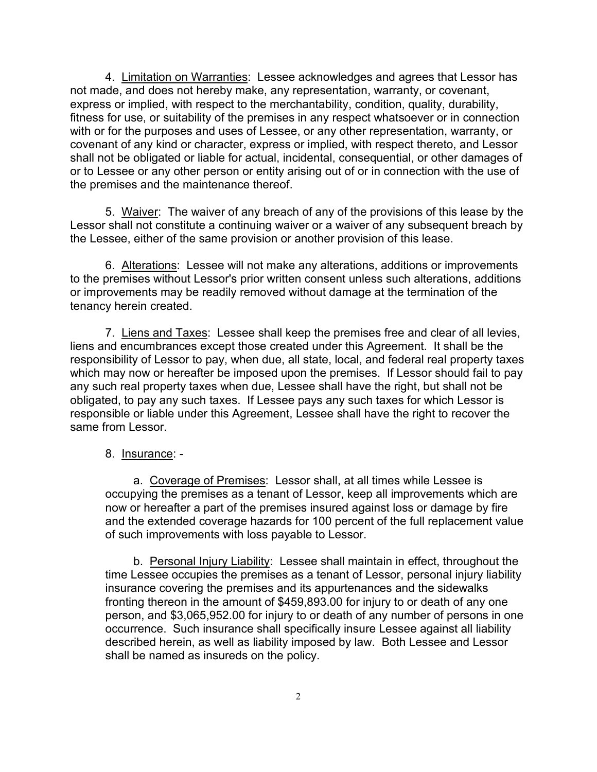4. Limitation on Warranties: Lessee acknowledges and agrees that Lessor has not made, and does not hereby make, any representation, warranty, or covenant, express or implied, with respect to the merchantability, condition, quality, durability, fitness for use, or suitability of the premises in any respect whatsoever or in connection with or for the purposes and uses of Lessee, or any other representation, warranty, or covenant of any kind or character, express or implied, with respect thereto, and Lessor shall not be obligated or liable for actual, incidental, consequential, or other damages of or to Lessee or any other person or entity arising out of or in connection with the use of the premises and the maintenance thereof.

5. Waiver: The waiver of any breach of any of the provisions of this lease by the Lessor shall not constitute a continuing waiver or a waiver of any subsequent breach by the Lessee, either of the same provision or another provision of this lease.

6. Alterations: Lessee will not make any alterations, additions or improvements to the premises without Lessor's prior written consent unless such alterations, additions or improvements may be readily removed without damage at the termination of the tenancy herein created.

7. Liens and Taxes: Lessee shall keep the premises free and clear of all levies, liens and encumbrances except those created under this Agreement. It shall be the responsibility of Lessor to pay, when due, all state, local, and federal real property taxes which may now or hereafter be imposed upon the premises. If Lessor should fail to pay any such real property taxes when due, Lessee shall have the right, but shall not be obligated, to pay any such taxes. If Lessee pays any such taxes for which Lessor is responsible or liable under this Agreement, Lessee shall have the right to recover the same from Lessor

#### 8. Insurance: -

a. Coverage of Premises: Lessor shall, at all times while Lessee is occupying the premises as a tenant of Lessor, keep all improvements which are now or hereafter a part of the premises insured against loss or damage by fire and the extended coverage hazards for 100 percent of the full replacement value of such improvements with loss payable to Lessor.

b. Personal Injury Liability: Lessee shall maintain in effect, throughout the time Lessee occupies the premises as a tenant of Lessor, personal injury liability insurance covering the premises and its appurtenances and the sidewalks fronting thereon in the amount of \$459,893.00 for injury to or death of any one person, and \$3,065,952.00 for injury to or death of any number of persons in one occurrence. Such insurance shall specifically insure Lessee against all liability described herein, as well as liability imposed by law. Both Lessee and Lessor shall be named as insureds on the policy.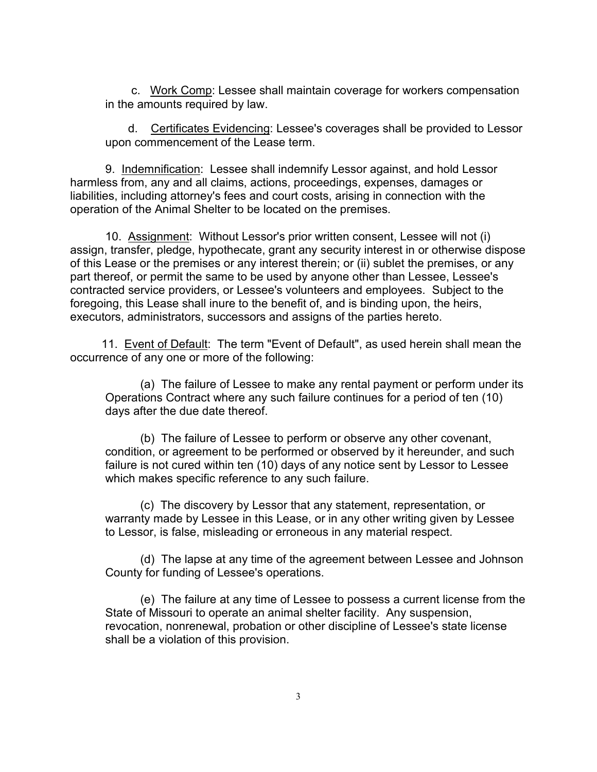c. Work Comp: Lessee shall maintain coverage for workers compensation in the amounts required by law.

 d. Certificates Evidencing: Lessee's coverages shall be provided to Lessor upon commencement of the Lease term.

9. Indemnification: Lessee shall indemnify Lessor against, and hold Lessor harmless from, any and all claims, actions, proceedings, expenses, damages or liabilities, including attorney's fees and court costs, arising in connection with the operation of the Animal Shelter to be located on the premises.

10. Assignment: Without Lessor's prior written consent, Lessee will not (i) assign, transfer, pledge, hypothecate, grant any security interest in or otherwise dispose of this Lease or the premises or any interest therein; or (ii) sublet the premises, or any part thereof, or permit the same to be used by anyone other than Lessee, Lessee's contracted service providers, or Lessee's volunteers and employees. Subject to the foregoing, this Lease shall inure to the benefit of, and is binding upon, the heirs, executors, administrators, successors and assigns of the parties hereto.

11. Event of Default: The term "Event of Default", as used herein shall mean the occurrence of any one or more of the following:

(a) The failure of Lessee to make any rental payment or perform under its Operations Contract where any such failure continues for a period of ten (10) days after the due date thereof.

(b) The failure of Lessee to perform or observe any other covenant, condition, or agreement to be performed or observed by it hereunder, and such failure is not cured within ten (10) days of any notice sent by Lessor to Lessee which makes specific reference to any such failure.

(c) The discovery by Lessor that any statement, representation, or warranty made by Lessee in this Lease, or in any other writing given by Lessee to Lessor, is false, misleading or erroneous in any material respect.

(d) The lapse at any time of the agreement between Lessee and Johnson County for funding of Lessee's operations.

(e) The failure at any time of Lessee to possess a current license from the State of Missouri to operate an animal shelter facility. Any suspension, revocation, nonrenewal, probation or other discipline of Lessee's state license shall be a violation of this provision.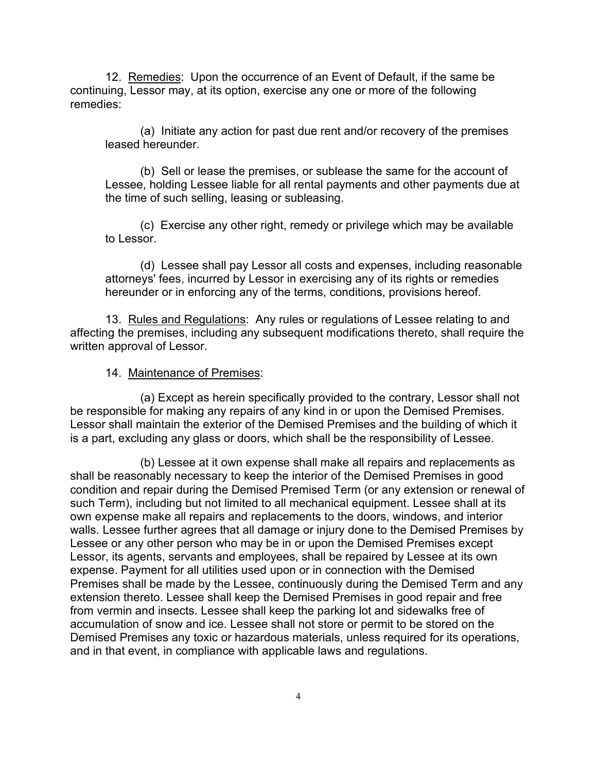12. Remedies: Upon the occurrence of an Event of Default, if the same be continuing, Lessor may, at its option, exercise any one or more of the following remedies:

(a) Initiate any action for past due rent and/or recovery of the premises leased hereunder.

(b) Sell or lease the premises, or sublease the same for the account of Lessee, holding Lessee liable for all rental payments and other payments due at the time of such selling, leasing or subleasing.

(c) Exercise any other right, remedy or privilege which may be available to Lessor.

(d) Lessee shall pay Lessor all costs and expenses, including reasonable attorneys' fees, incurred by Lessor in exercising any of its rights or remedies hereunder or in enforcing any of the terms, conditions, provisions hereof.

13. Rules and Regulations: Any rules or regulations of Lessee relating to and affecting the premises, including any subsequent modifications thereto, shall require the written approval of Lessor.

#### 14. Maintenance of Premises:

(a) Except as herein specifically provided to the contrary, Lessor shall not be responsible for making any repairs of any kind in or upon the Demised Premises. Lessor shall maintain the exterior of the Demised Premises and the building of which it is a part, excluding any glass or doors, which shall be the responsibility of Lessee.

(b) Lessee at it own expense shall make all repairs and replacements as shall be reasonably necessary to keep the interior of the Demised Premises in good condition and repair during the Demised Premised Term (or any extension or renewal of such Term), including but not limited to all mechanical equipment. Lessee shall at its own expense make all repairs and replacements to the doors, windows, and interior walls. Lessee further agrees that all damage or injury done to the Demised Premises by Lessee or any other person who may be in or upon the Demised Premises except Lessor, its agents, servants and employees, shall be repaired by Lessee at its own expense. Payment for all utilities used upon or in connection with the Demised Premises shall be made by the Lessee, continuously during the Demised Term and any extension thereto. Lessee shall keep the Demised Premises in good repair and free from vermin and insects. Lessee shall keep the parking lot and sidewalks free of accumulation of snow and ice. Lessee shall not store or permit to be stored on the Demised Premises any toxic or hazardous materials, unless required for its operations, and in that event, in compliance with applicable laws and regulations.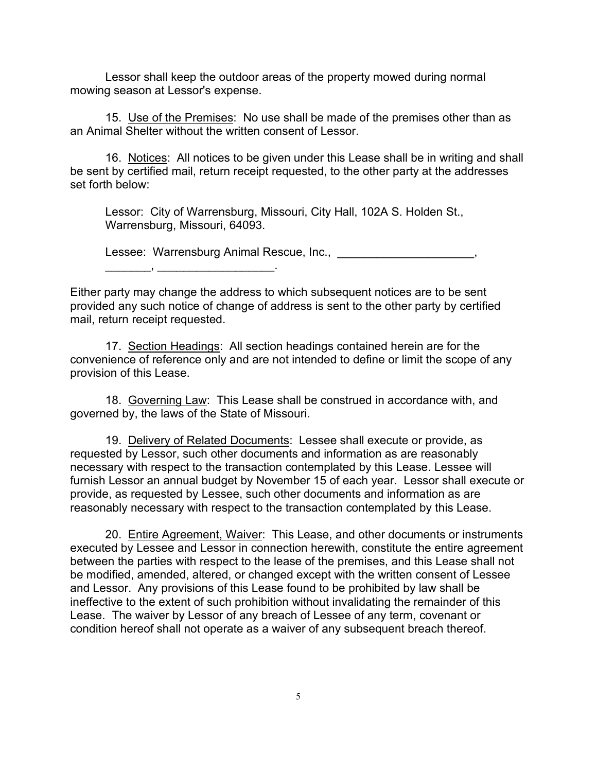Lessor shall keep the outdoor areas of the property mowed during normal mowing season at Lessor's expense.

15. Use of the Premises: No use shall be made of the premises other than as an Animal Shelter without the written consent of Lessor.

16. Notices: All notices to be given under this Lease shall be in writing and shall be sent by certified mail, return receipt requested, to the other party at the addresses set forth below:

Lessor: City of Warrensburg, Missouri, City Hall, 102A S. Holden St., Warrensburg, Missouri, 64093.

Lessee: Warrensburg Animal Rescue, Inc., \_\_\_\_\_\_\_\_\_\_\_\_\_\_\_\_\_\_\_\_\_\_,

 $\overline{\phantom{a}}$  ,  $\overline{\phantom{a}}$  ,  $\overline{\phantom{a}}$ 

Either party may change the address to which subsequent notices are to be sent provided any such notice of change of address is sent to the other party by certified mail, return receipt requested.

17. Section Headings: All section headings contained herein are for the convenience of reference only and are not intended to define or limit the scope of any provision of this Lease.

18. Governing Law: This Lease shall be construed in accordance with, and governed by, the laws of the State of Missouri.

19. Delivery of Related Documents: Lessee shall execute or provide, as requested by Lessor, such other documents and information as are reasonably necessary with respect to the transaction contemplated by this Lease. Lessee will furnish Lessor an annual budget by November 15 of each year. Lessor shall execute or provide, as requested by Lessee, such other documents and information as are reasonably necessary with respect to the transaction contemplated by this Lease.

20. Entire Agreement, Waiver: This Lease, and other documents or instruments executed by Lessee and Lessor in connection herewith, constitute the entire agreement between the parties with respect to the lease of the premises, and this Lease shall not be modified, amended, altered, or changed except with the written consent of Lessee and Lessor. Any provisions of this Lease found to be prohibited by law shall be ineffective to the extent of such prohibition without invalidating the remainder of this Lease. The waiver by Lessor of any breach of Lessee of any term, covenant or condition hereof shall not operate as a waiver of any subsequent breach thereof.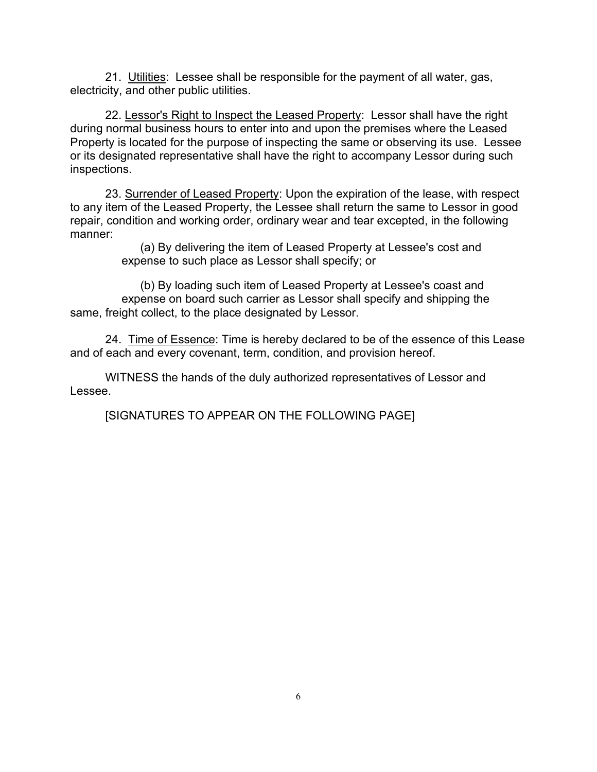21. Utilities: Lessee shall be responsible for the payment of all water, gas, electricity, and other public utilities.

22. Lessor's Right to Inspect the Leased Property: Lessor shall have the right during normal business hours to enter into and upon the premises where the Leased Property is located for the purpose of inspecting the same or observing its use. Lessee or its designated representative shall have the right to accompany Lessor during such inspections.

23. Surrender of Leased Property: Upon the expiration of the lease, with respect to any item of the Leased Property, the Lessee shall return the same to Lessor in good repair, condition and working order, ordinary wear and tear excepted, in the following manner:

> (a) By delivering the item of Leased Property at Lessee's cost and expense to such place as Lessor shall specify; or

(b) By loading such item of Leased Property at Lessee's coast and expense on board such carrier as Lessor shall specify and shipping the same, freight collect, to the place designated by Lessor.

24. Time of Essence: Time is hereby declared to be of the essence of this Lease and of each and every covenant, term, condition, and provision hereof.

WITNESS the hands of the duly authorized representatives of Lessor and Lessee.

[SIGNATURES TO APPEAR ON THE FOLLOWING PAGE]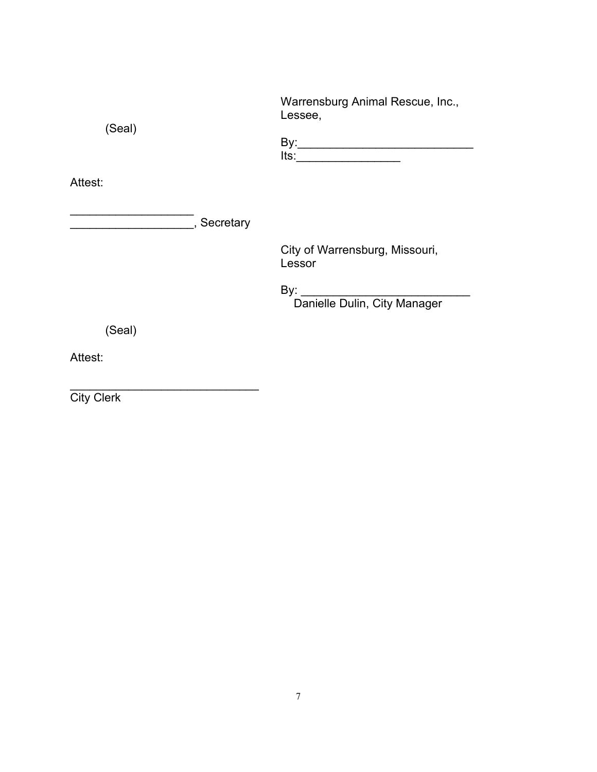| (Seal)    | Warrensburg Animal Rescue, Inc.,<br>Lessee,                                                                                                                                                                                                  |
|-----------|----------------------------------------------------------------------------------------------------------------------------------------------------------------------------------------------------------------------------------------------|
|           | lts:<br><u> 1980 - Jan Stein Stein Stein Stein Stein Stein Stein Stein Stein Stein Stein Stein Stein Stein Stein Stein Stein Stein Stein Stein Stein Stein Stein Stein Stein Stein Stein Stein Stein Stein Stein Stein Stein Stein Stein</u> |
| Attest:   |                                                                                                                                                                                                                                              |
| Secretary |                                                                                                                                                                                                                                              |
|           | City of Warrensburg, Missouri,<br>Lessor                                                                                                                                                                                                     |
|           | Danielle Dulin, City Manager                                                                                                                                                                                                                 |
| (Seal)    |                                                                                                                                                                                                                                              |
| Attest:   |                                                                                                                                                                                                                                              |

City Clerk

\_\_\_\_\_\_\_\_\_\_\_\_\_\_\_\_\_\_\_\_\_\_\_\_\_\_\_\_\_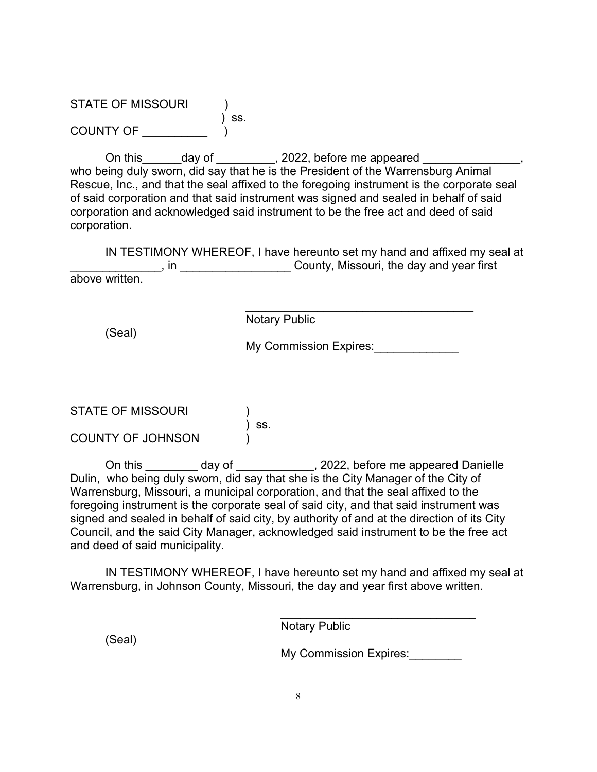STATE OF MISSOURI )<br>) ss.<br>) COUNTY OF \_\_\_\_\_\_\_

On this\_\_\_\_\_\_day of \_\_\_\_\_\_\_\_\_, 2022, before me appeared \_\_\_\_\_\_\_\_ who being duly sworn, did say that he is the President of the Warrensburg Animal Rescue, Inc., and that the seal affixed to the foregoing instrument is the corporate seal of said corporation and that said instrument was signed and sealed in behalf of said corporation and acknowledged said instrument to be the free act and deed of said corporation.

IN TESTIMONY WHEREOF, I have hereunto set my hand and affixed my seal at \_\_\_\_\_\_\_\_\_\_\_\_\_\_, in \_\_\_\_\_\_\_\_\_\_\_\_\_\_\_\_\_ County, Missouri, the day and year first above written.

(Seal)

Notary Public

My Commission Expires:

\_\_\_\_\_\_\_\_\_\_\_\_\_\_\_\_\_\_\_\_\_\_\_\_\_\_\_\_\_\_\_\_\_\_\_

STATE OF MISSOURI  $\int$  ss. COUNTY OF JOHNSON )

On this \_\_\_\_\_\_\_\_ day of \_\_\_\_\_\_\_\_\_\_\_\_, 2022, before me appeared Danielle Dulin, who being duly sworn, did say that she is the City Manager of the City of Warrensburg, Missouri, a municipal corporation, and that the seal affixed to the foregoing instrument is the corporate seal of said city, and that said instrument was signed and sealed in behalf of said city, by authority of and at the direction of its City Council, and the said City Manager, acknowledged said instrument to be the free act and deed of said municipality.

IN TESTIMONY WHEREOF, I have hereunto set my hand and affixed my seal at Warrensburg, in Johnson County, Missouri, the day and year first above written.

> \_\_\_\_\_\_\_\_\_\_\_\_\_\_\_\_\_\_\_\_\_\_\_\_\_\_\_\_\_\_ Notary Public

(Seal)

My Commission Expires: